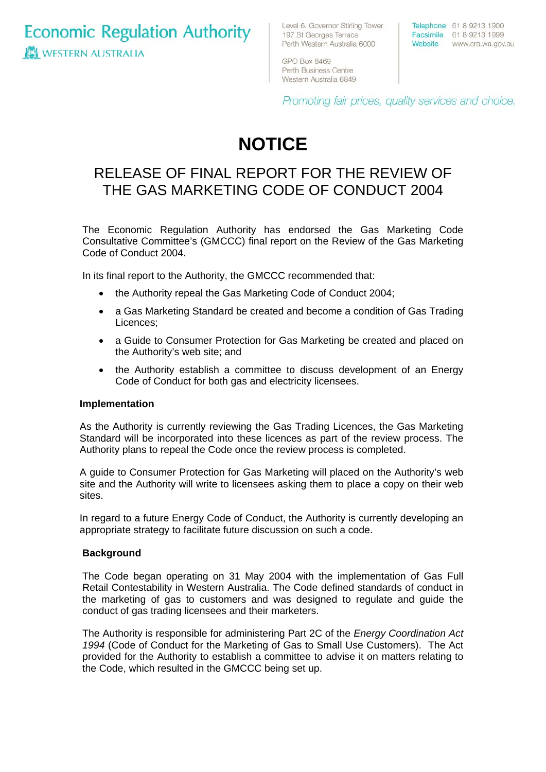**Economic Regulation Authority IS WESTERN AUSTRALIA** 

Level 6, Governor Stirling Tower 197 St Georges Terrace Perth Western Australia 6000

GPO Box 8469 Perth Business Centre Western Australia 6849

Telephone 61 8 9213 1900 Facsimile 61 8 9213 1999 Website www.era.wa.gov.au

Promoting fair prices, quality services and choice.

# **NOTICE**

## RELEASE OF FINAL REPORT FOR THE REVIEW OF THE GAS MARKETING CODE OF CONDUCT 2004

The Economic Regulation Authority has endorsed the Gas Marketing Code Consultative Committee's (GMCCC) final report on the Review of the Gas Marketing Code of Conduct 2004.

In its final report to the Authority, the GMCCC recommended that:

- the Authority repeal the Gas Marketing Code of Conduct 2004;
- a Gas Marketing Standard be created and become a condition of Gas Trading Licences;
- a Guide to Consumer Protection for Gas Marketing be created and placed on the Authority's web site; and
- the Authority establish a committee to discuss development of an Energy Code of Conduct for both gas and electricity licensees.

#### **Implementation**

As the Authority is currently reviewing the Gas Trading Licences, the Gas Marketing Standard will be incorporated into these licences as part of the review process. The Authority plans to repeal the Code once the review process is completed.

A guide to Consumer Protection for Gas Marketing will placed on the Authority's web site and the Authority will write to licensees asking them to place a copy on their web sites.

In regard to a future Energy Code of Conduct, the Authority is currently developing an appropriate strategy to facilitate future discussion on such a code.

#### **Background**

The Code began operating on 31 May 2004 with the implementation of Gas Full Retail Contestability in Western Australia. The Code defined standards of conduct in the marketing of gas to customers and was designed to regulate and guide the conduct of gas trading licensees and their marketers.

The Authority is responsible for administering Part 2C of the *Energy Coordination Act 1994* (Code of Conduct for the Marketing of Gas to Small Use Customers). The Act provided for the Authority to establish a committee to advise it on matters relating to the Code, which resulted in the GMCCC being set up.